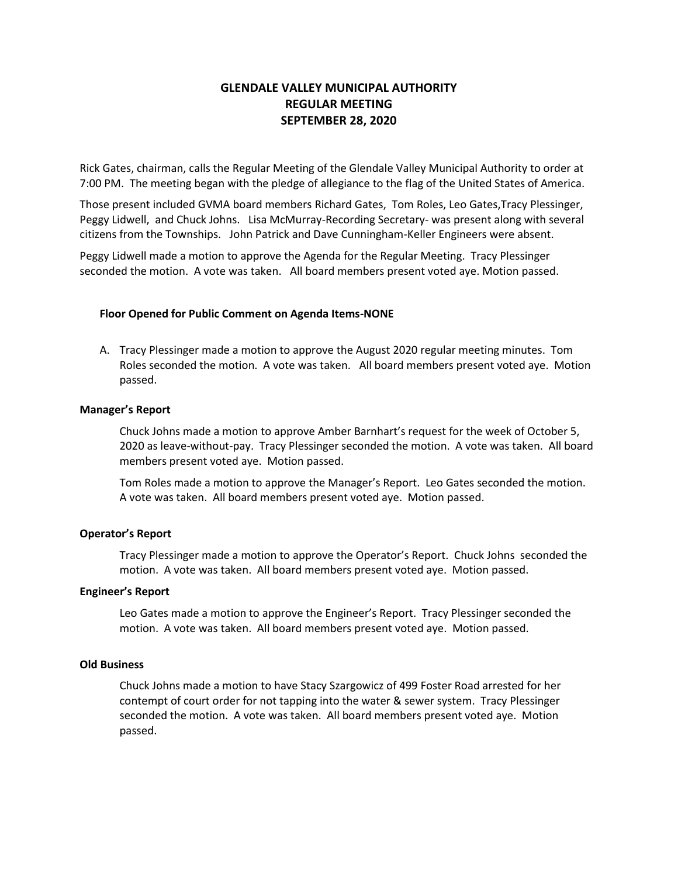# **GLENDALE VALLEY MUNICIPAL AUTHORITY REGULAR MEETING SEPTEMBER 28, 2020**

Rick Gates, chairman, calls the Regular Meeting of the Glendale Valley Municipal Authority to order at 7:00 PM. The meeting began with the pledge of allegiance to the flag of the United States of America.

Those present included GVMA board members Richard Gates, Tom Roles, Leo Gates,Tracy Plessinger, Peggy Lidwell, and Chuck Johns. Lisa McMurray-Recording Secretary- was present along with several citizens from the Townships. John Patrick and Dave Cunningham-Keller Engineers were absent.

Peggy Lidwell made a motion to approve the Agenda for the Regular Meeting. Tracy Plessinger seconded the motion. A vote was taken. All board members present voted aye. Motion passed.

## **Floor Opened for Public Comment on Agenda Items-NONE**

A. Tracy Plessinger made a motion to approve the August 2020 regular meeting minutes. Tom Roles seconded the motion. A vote was taken. All board members present voted aye. Motion passed.

### **Manager's Report**

Chuck Johns made a motion to approve Amber Barnhart's request for the week of October 5, 2020 as leave-without-pay. Tracy Plessinger seconded the motion. A vote was taken. All board members present voted aye. Motion passed.

Tom Roles made a motion to approve the Manager's Report. Leo Gates seconded the motion. A vote was taken. All board members present voted aye. Motion passed.

## **Operator's Report**

Tracy Plessinger made a motion to approve the Operator's Report. Chuck Johns seconded the motion. A vote was taken. All board members present voted aye. Motion passed.

#### **Engineer's Report**

Leo Gates made a motion to approve the Engineer's Report. Tracy Plessinger seconded the motion. A vote was taken. All board members present voted aye. Motion passed.

#### **Old Business**

Chuck Johns made a motion to have Stacy Szargowicz of 499 Foster Road arrested for her contempt of court order for not tapping into the water & sewer system. Tracy Plessinger seconded the motion. A vote was taken. All board members present voted aye. Motion passed.